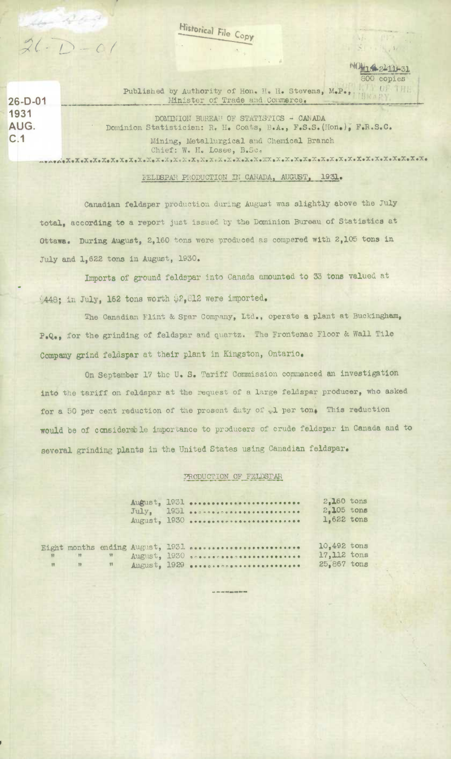Historical File Copy

 $26 - D - 01$ 1931 AUG.  $C.1$ 

Eigh

 $2(-1) - 0$ 

Published by Authority of Hon. H. H. Stevens, M.P.,. Minister of Trade and Commerce.

DOMINION BUREAU OF STATISTICS - CANADA Dominion Statistician: R. H. Coats, B.A., F.S.S. (Hon.), F.R.S.C. Mining, Metallurgical and Chemical Branch Chief: W. H. Losee, B.Sc. 

 $\mathbb{R}^3$ 

NO<sub>M1</sub>4 2-12-31 800 copies **CETTE** 

## FELDSPAR PRODUCTION IN CANADA, AUGUST, 1931.

Canadian feldspar production during August was slightly above the July total, according to a report just issued by the Dominion Bureau of Statistics at Ottawa. During August, 2,160 tons were produced as compered with 2,105 tons in July and 1,622 tons in August, 1930.

Imports of ground feldspar into Canada amounted to 33 tons valued at 448: in July, 162 tons worth \$2,812 were imported.

The Canadian Flint & Spar Company, Ltd., operate a plant at Buckingham, P.Q., for the grinding of feldspar and quartz. The Frontenac Floor & Wall Tile Company grind feldspar at their plant in Kingston, Ontario.

On September 17 the U.S. Tariff Commission commenced an investigation into the tariff on feldspar at the request of a large feldspar producer, who asked for a 50 per cent reduction of the present duty of .1 per ton, This reduction would be of considerable importance to producers of crude feldspar in Canada and to several grinding plants in the United States using Canadian feldspar.

## PRODUCTION OF FELDSPAR

|              |                               |  | August, 1931<br>$July_1$ 1931<br>August, 1930 | 2.160 tons<br>$2,105$ tons<br>1,622 tons |  |
|--------------|-------------------------------|--|-----------------------------------------------|------------------------------------------|--|
|              |                               |  |                                               |                                          |  |
|              |                               |  | t months ending August, 1931                  | 10,492 tons                              |  |
| $\mathbf{R}$ | $-19$                         |  |                                               | 17,112 tons                              |  |
|              | $\blacksquare$ $\blacksquare$ |  | August, 1929                                  | 25,867 tons                              |  |